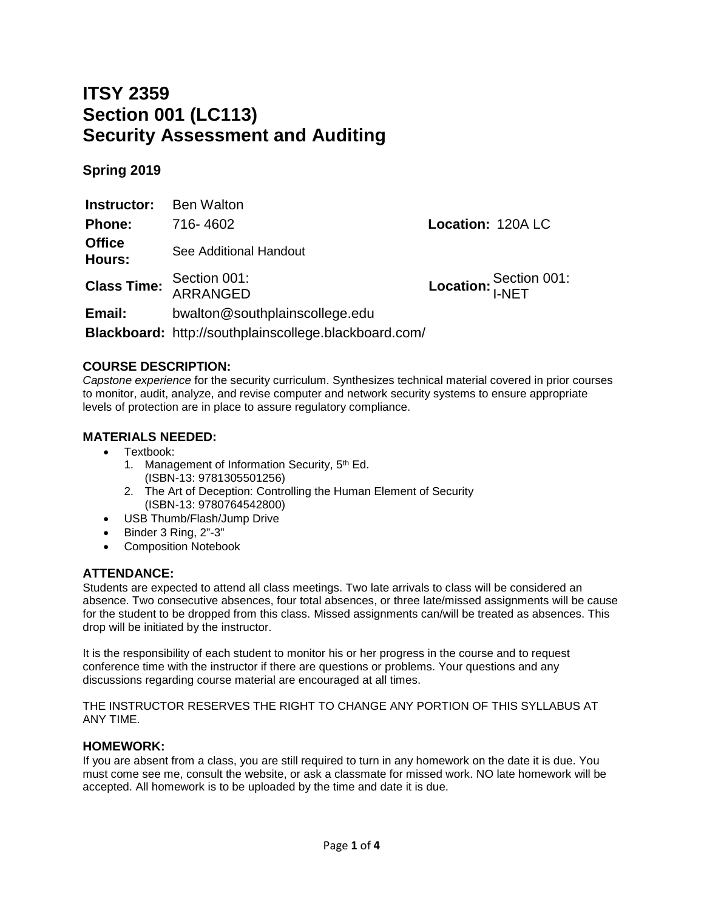# **ITSY 2359 Section 001 (LC113) Security Assessment and Auditing**

# **Spring 2019**

| <b>Instructor:</b> Ben Walton |                                                       |                         |
|-------------------------------|-------------------------------------------------------|-------------------------|
| <b>Phone:</b>                 | 716-4602                                              | <b>Location: 120ALC</b> |
| <b>Office</b><br>Hours:       | See Additional Handout                                |                         |
|                               | Section 001:<br>Class Time: JEUNINGED                 | Location: Section 001:  |
| Email:                        | bwalton@southplainscollege.edu                        |                         |
|                               | Blackboard: http://southplainscollege.blackboard.com/ |                         |

## **COURSE DESCRIPTION:**

*Capstone experience* for the security curriculum. Synthesizes technical material covered in prior courses to monitor, audit, analyze, and revise computer and network security systems to ensure appropriate levels of protection are in place to assure regulatory compliance.

## **MATERIALS NEEDED:**

- Textbook:
	- 1. Management of Information Security, 5<sup>th</sup> Ed. (ISBN-13: 9781305501256)
	- 2. The Art of Deception: Controlling the Human Element of Security (ISBN-13: 9780764542800)
- USB Thumb/Flash/Jump Drive
- Binder 3 Ring, 2"-3"
- Composition Notebook

## **ATTENDANCE:**

Students are expected to attend all class meetings. Two late arrivals to class will be considered an absence. Two consecutive absences, four total absences, or three late/missed assignments will be cause for the student to be dropped from this class. Missed assignments can/will be treated as absences. This drop will be initiated by the instructor.

It is the responsibility of each student to monitor his or her progress in the course and to request conference time with the instructor if there are questions or problems. Your questions and any discussions regarding course material are encouraged at all times.

THE INSTRUCTOR RESERVES THE RIGHT TO CHANGE ANY PORTION OF THIS SYLLABUS AT ANY TIME.

## **HOMEWORK:**

If you are absent from a class, you are still required to turn in any homework on the date it is due. You must come see me, consult the website, or ask a classmate for missed work. NO late homework will be accepted. All homework is to be uploaded by the time and date it is due.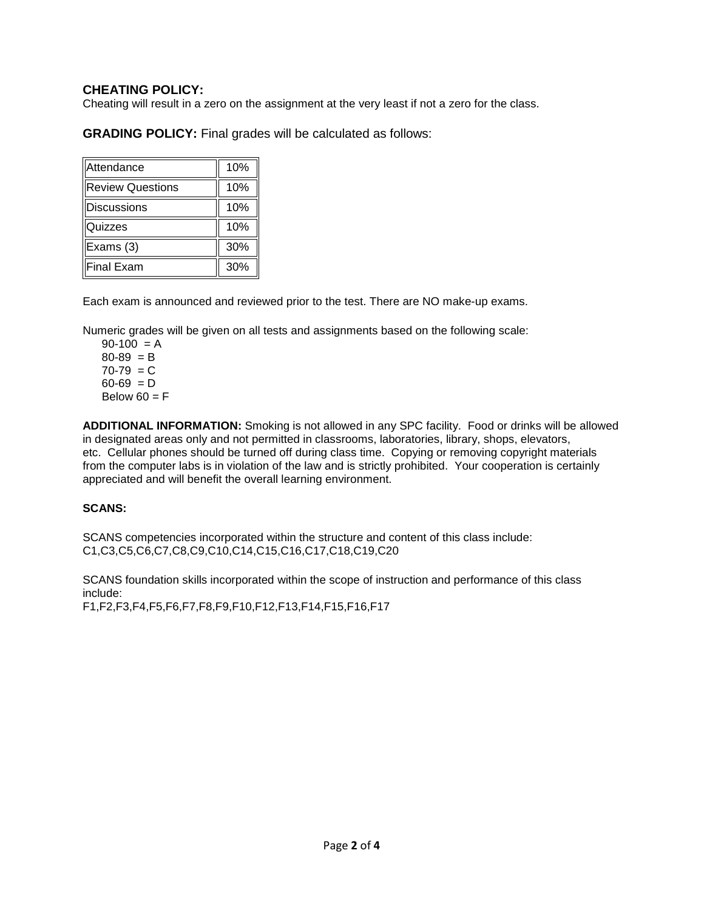## **CHEATING POLICY:**

Cheating will result in a zero on the assignment at the very least if not a zero for the class.

**GRADING POLICY:** Final grades will be calculated as follows:

| Attendance          | 10% |
|---------------------|-----|
| Review Questions    | 10% |
| Discussions         | 10% |
| Quizzes             | 10% |
| Exams (3)           | 30% |
| <b>  Final Exam</b> | 30% |

Each exam is announced and reviewed prior to the test. There are NO make-up exams.

Numeric grades will be given on all tests and assignments based on the following scale:

 $90-100 = A$  $80-89 = B$  $70-79 = C$  $60-69 = D$ Below  $60 = F$ 

**ADDITIONAL INFORMATION:** Smoking is not allowed in any SPC facility. Food or drinks will be allowed in designated areas only and not permitted in classrooms, laboratories, library, shops, elevators, etc. Cellular phones should be turned off during class time. Copying or removing copyright materials from the computer labs is in violation of the law and is strictly prohibited. Your cooperation is certainly appreciated and will benefit the overall learning environment.

## **SCANS:**

SCANS competencies incorporated within the structure and content of this class include: C1,C3,C5,C6,C7,C8,C9,C10,C14,C15,C16,C17,C18,C19,C20

SCANS foundation skills incorporated within the scope of instruction and performance of this class include:

F1,F2,F3,F4,F5,F6,F7,F8,F9,F10,F12,F13,F14,F15,F16,F17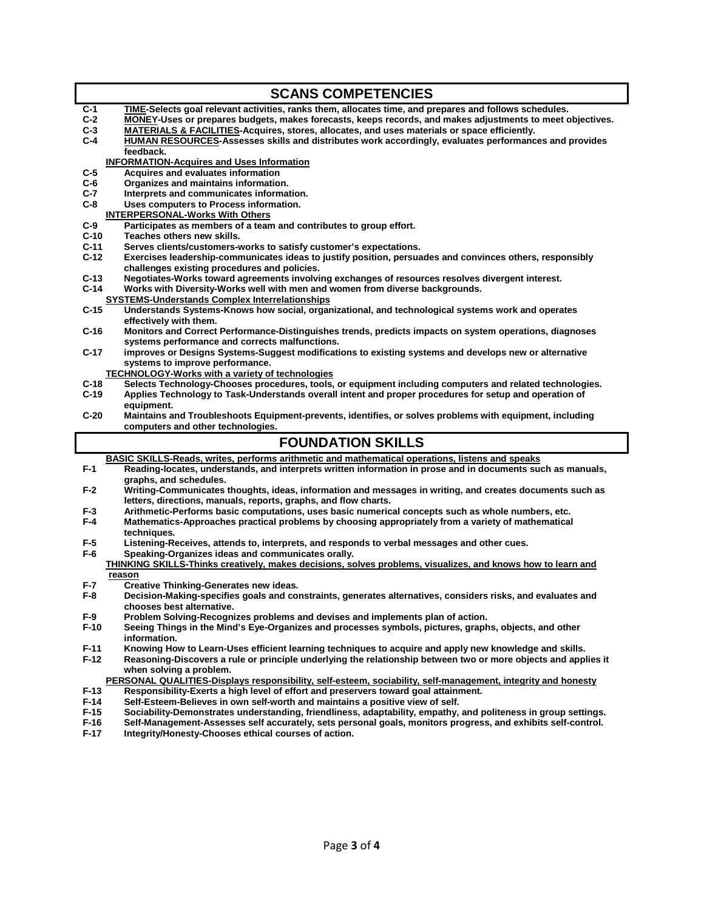| <b>SCANS COMPETENCIES</b>                                                                       |                                                                                                                                          |  |  |
|-------------------------------------------------------------------------------------------------|------------------------------------------------------------------------------------------------------------------------------------------|--|--|
| C-1                                                                                             | TIME-Selects goal relevant activities, ranks them, allocates time, and prepares and follows schedules.                                   |  |  |
| $C-2$                                                                                           | MONEY-Uses or prepares budgets, makes forecasts, keeps records, and makes adjustments to meet objectives.                                |  |  |
| $C-3$                                                                                           | MATERIALS & FACILITIES-Acquires, stores, allocates, and uses materials or space efficiently.                                             |  |  |
| $C-4$                                                                                           | HUMAN RESOURCES-Assesses skills and distributes work accordingly, evaluates performances and provides                                    |  |  |
|                                                                                                 | feedback.                                                                                                                                |  |  |
|                                                                                                 | <b>INFORMATION-Acquires and Uses Information</b>                                                                                         |  |  |
| $C-5$                                                                                           | Acquires and evaluates information                                                                                                       |  |  |
| C-6                                                                                             | Organizes and maintains information.                                                                                                     |  |  |
| C-7                                                                                             | Interprets and communicates information.                                                                                                 |  |  |
| C-8<br>Uses computers to Process information.                                                   |                                                                                                                                          |  |  |
| $C-9$                                                                                           | <b>INTERPERSONAL-Works With Others</b><br>Participates as members of a team and contributes to group effort.                             |  |  |
| C-10                                                                                            | Teaches others new skills.                                                                                                               |  |  |
| C-11                                                                                            | Serves clients/customers-works to satisfy customer's expectations.                                                                       |  |  |
| $C-12$                                                                                          | Exercises leadership-communicates ideas to justify position, persuades and convinces others, responsibly                                 |  |  |
|                                                                                                 | challenges existing procedures and policies.                                                                                             |  |  |
| $C-13$                                                                                          | Negotiates-Works toward agreements involving exchanges of resources resolves divergent interest.                                         |  |  |
| C-14                                                                                            | Works with Diversity-Works well with men and women from diverse backgrounds.                                                             |  |  |
| <b>SYSTEMS-Understands Complex Interrelationships</b>                                           |                                                                                                                                          |  |  |
| $C-15$                                                                                          | Understands Systems-Knows how social, organizational, and technological systems work and operates                                        |  |  |
|                                                                                                 | effectively with them.                                                                                                                   |  |  |
| $C-16$                                                                                          | Monitors and Correct Performance-Distinguishes trends, predicts impacts on system operations, diagnoses                                  |  |  |
|                                                                                                 | systems performance and corrects malfunctions.                                                                                           |  |  |
| $C-17$                                                                                          | improves or Designs Systems-Suggest modifications to existing systems and develops new or alternative                                    |  |  |
|                                                                                                 | systems to improve performance.                                                                                                          |  |  |
|                                                                                                 | <b>TECHNOLOGY-Works with a variety of technologies</b>                                                                                   |  |  |
| $C-18$<br>$C-19$                                                                                | Selects Technology-Chooses procedures, tools, or equipment including computers and related technologies.                                 |  |  |
|                                                                                                 | Applies Technology to Task-Understands overall intent and proper procedures for setup and operation of<br>equipment.                     |  |  |
| $C-20$                                                                                          | Maintains and Troubleshoots Equipment-prevents, identifies, or solves problems with equipment, including                                 |  |  |
|                                                                                                 | computers and other technologies.                                                                                                        |  |  |
| <b>FOUNDATION SKILLS</b>                                                                        |                                                                                                                                          |  |  |
| BASIC SKILLS-Reads, writes, performs arithmetic and mathematical operations, listens and speaks |                                                                                                                                          |  |  |
| $F-1$                                                                                           | Reading-locates, understands, and interprets written information in prose and in documents such as manuals,                              |  |  |
|                                                                                                 | graphs, and schedules.                                                                                                                   |  |  |
| F-2                                                                                             | Writing-Communicates thoughts, ideas, information and messages in writing, and creates documents such as                                 |  |  |
|                                                                                                 | letters, directions, manuals, reports, graphs, and flow charts.                                                                          |  |  |
| F-3                                                                                             | Arithmetic-Performs basic computations, uses basic numerical concepts such as whole numbers, etc.                                        |  |  |
| F-4                                                                                             | Mathematics-Approaches practical problems by choosing appropriately from a variety of mathematical                                       |  |  |
|                                                                                                 | techniques.                                                                                                                              |  |  |
| $F-5$                                                                                           | Listening-Receives, attends to, interprets, and responds to verbal messages and other cues.                                              |  |  |
| F-6                                                                                             | Speaking-Organizes ideas and communicates orally.                                                                                        |  |  |
|                                                                                                 | THINKING SKILLS-Thinks creatively, makes decisions, solves problems, visualizes, and knows how to learn and                              |  |  |
|                                                                                                 | reason                                                                                                                                   |  |  |
| F-7                                                                                             | Creative Thinking-Generates new ideas.                                                                                                   |  |  |
| F-8                                                                                             | Decision-Making-specifies goals and constraints, generates alternatives, considers risks, and evaluates and<br>chooses best alternative. |  |  |
| F-9                                                                                             | Problem Solving-Recognizes problems and devises and implements plan of action.                                                           |  |  |
| $F-10$                                                                                          | Seeing Things in the Mind's Eye-Organizes and processes symbols, pictures, graphs, objects, and other                                    |  |  |
|                                                                                                 | information.                                                                                                                             |  |  |
| $F-11$                                                                                          | Knowing How to Learn-Uses efficient learning techniques to acquire and apply new knowledge and skills.                                   |  |  |
| F-12                                                                                            | Reasoning-Discovers a rule or principle underlying the relationship between two or more objects and applies it                           |  |  |
|                                                                                                 | when solving a problem.                                                                                                                  |  |  |
|                                                                                                 | PERSONAL QUALITIES-Displays responsibility, self-esteem, sociability, self-management, integrity and honesty                             |  |  |
| $F-13$                                                                                          | Responsibility-Exerts a high level of effort and preservers toward goal attainment.                                                      |  |  |
| $F-14$                                                                                          | Self-Esteem-Believes in own self-worth and maintains a positive view of self.                                                            |  |  |
| $F-15$                                                                                          | Sociability-Demonstrates understanding, friendliness, adaptability, empathy, and politeness in group settings.                           |  |  |
| $F-16$                                                                                          | Self-Management-Assesses self accurately, sets personal goals, monitors progress, and exhibits self-control.                             |  |  |
| $F-17$                                                                                          | Integrity/Honesty-Chooses ethical courses of action.                                                                                     |  |  |